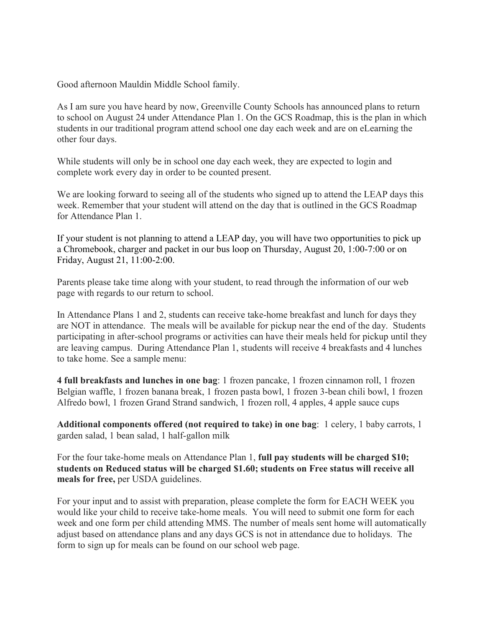Good afternoon Mauldin Middle School family.

As I am sure you have heard by now, Greenville County Schools has announced plans to return to school on August 24 under Attendance Plan 1. On the GCS Roadmap, this is the plan in which students in our traditional program attend school one day each week and are on eLearning the other four days.

While students will only be in school one day each week, they are expected to login and complete work every day in order to be counted present.

We are looking forward to seeing all of the students who signed up to attend the LEAP days this week. Remember that your student will attend on the day that is outlined in the GCS Roadmap for Attendance Plan 1.

If your student is not planning to attend a LEAP day, you will have two opportunities to pick up a Chromebook, charger and packet in our bus loop on Thursday, August 20, 1:00-7:00 or on Friday, August 21, 11:00-2:00.

Parents please take time along with your student, to read through the information of our web page with regards to our return to school.

In Attendance Plans 1 and 2, students can receive take-home breakfast and lunch for days they are NOT in attendance. The meals will be available for pickup near the end of the day. Students participating in after-school programs or activities can have their meals held for pickup until they are leaving campus. During Attendance Plan 1, students will receive 4 breakfasts and 4 lunches to take home. See a sample menu:

**4 full breakfasts and lunches in one bag**: 1 frozen pancake, 1 frozen cinnamon roll, 1 frozen Belgian waffle, 1 frozen banana break, 1 frozen pasta bowl, 1 frozen 3-bean chili bowl, 1 frozen Alfredo bowl, 1 frozen Grand Strand sandwich, 1 frozen roll, 4 apples, 4 apple sauce cups

**Additional components offered (not required to take) in one bag**: 1 celery, 1 baby carrots, 1 garden salad, 1 bean salad, 1 half-gallon milk

For the four take-home meals on Attendance Plan 1, **full pay students will be charged \$10; students on Reduced status will be charged \$1.60; students on Free status will receive all meals for free,** per USDA guidelines.

For your input and to assist with preparation, please complete the form for EACH WEEK you would like your child to receive take-home meals. You will need to submit one form for each week and one form per child attending MMS. The number of meals sent home will automatically adjust based on attendance plans and any days GCS is not in attendance due to holidays. The form to sign up for meals can be found on our school web page.